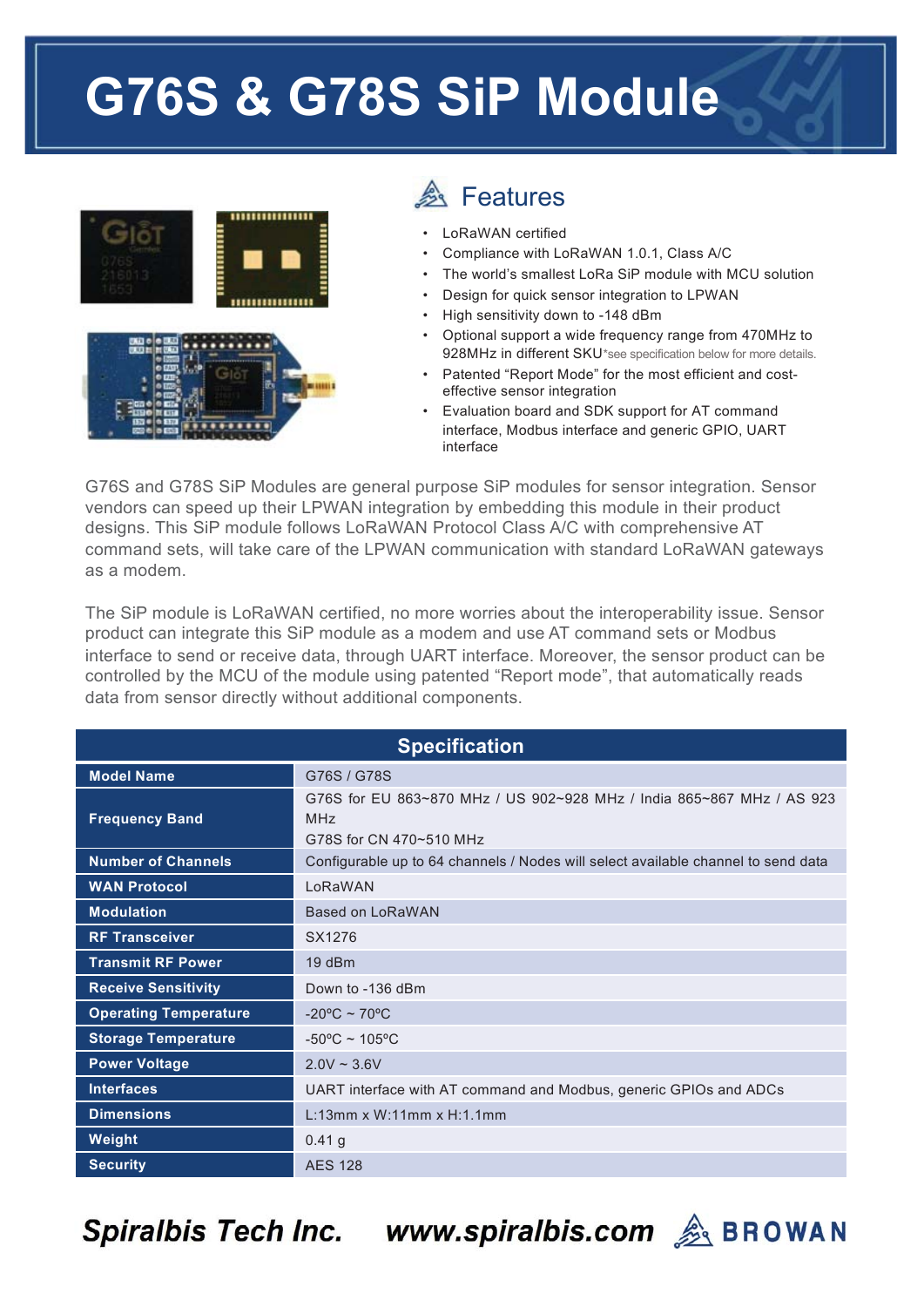## G76S & G78S SiP Module



## **A** Features

- LoRaWAN certified
- Compliance with LoRaWAN 1.0.1, Class A/C
- The world's smallest LoRa SiP module with MCU solution
- Design for quick sensor integration to LPWAN
- High sensitivity down to -148 dBm
- Optional support a wide frequency range from 470MHz to 928MHz in different SKU\*see specification below for more details.
- Patented "Report Mode" for the most efficient and costeffective sensor integration
- Evaluation board and SDK support for AT command interface, Modbus interface and generic GPIO, UART interface

G76S and G78S SiP Modules are general purpose SiP modules for sensor integration. Sensor vendors can speed up their LPWAN integration by embedding this module in their product designs. This SiP module follows LoRaWAN Protocol Class A/C with comprehensive AT command sets, will take care of the LPWAN communication with standard LoRaWAN gateways as a modem.

The SiP module is LoRaWAN certified, no more worries about the interoperability issue. Sensor product can integrate this SiP module as a modem and use AT command sets or Modbus interface to send or receive data, through UART interface. Moreover, the sensor product can be controlled by the MCU of the module using patented "Report mode", that automatically reads data from sensor directly without additional components.

| <b>Specification</b>         |                                                                                                                |  |  |
|------------------------------|----------------------------------------------------------------------------------------------------------------|--|--|
| <b>Model Name</b>            | G76S / G78S                                                                                                    |  |  |
| <b>Frequency Band</b>        | G76S for EU 863~870 MHz / US 902~928 MHz / India 865~867 MHz / AS 923<br><b>MHz</b><br>G78S for CN 470~510 MHz |  |  |
| <b>Number of Channels</b>    | Configurable up to 64 channels / Nodes will select available channel to send data                              |  |  |
| <b>WAN Protocol</b>          | LoRaWAN                                                                                                        |  |  |
| <b>Modulation</b>            | Based on LoRaWAN                                                                                               |  |  |
| <b>RF Transceiver</b>        | SX1276                                                                                                         |  |  |
| <b>Transmit RF Power</b>     | 19dBm                                                                                                          |  |  |
| <b>Receive Sensitivity</b>   | Down to -136 dBm                                                                                               |  |  |
| <b>Operating Temperature</b> | $-20^{\circ}$ C ~ 70°C                                                                                         |  |  |
| <b>Storage Temperature</b>   | $-50^{\circ}$ C ~ 105°C                                                                                        |  |  |
| <b>Power Voltage</b>         | $2.0V \sim 3.6V$                                                                                               |  |  |
| <b>Interfaces</b>            | UART interface with AT command and Modbus, generic GPIOs and ADCs                                              |  |  |
| <b>Dimensions</b>            | $L:13mm \times W:11mm \times H:1.1mm$                                                                          |  |  |
| Weight                       | $0.41$ g                                                                                                       |  |  |
| <b>Security</b>              | <b>AES 128</b>                                                                                                 |  |  |

**Spiralbis Tech Inc.**